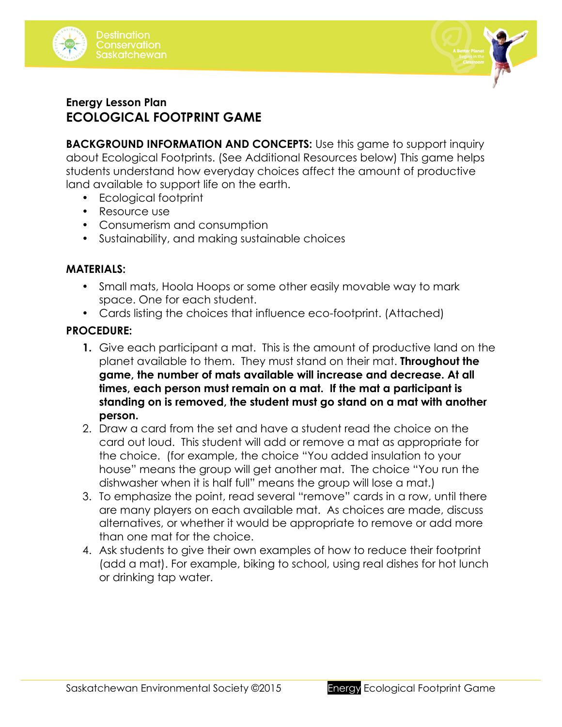



## **Energy Lesson Plan ECOLOGICAL FOOTPRINT GAME**

**BACKGROUND INFORMATION AND CONCEPTS:** Use this game to support inquiry about Ecological Footprints. (See Additional Resources below) This game helps students understand how everyday choices affect the amount of productive land available to support life on the earth.

- Ecological footprint
- Resource use
- Consumerism and consumption
- Sustainability, and making sustainable choices

#### **MATERIALS:**

- Small mats, Hoola Hoops or some other easily movable way to mark space. One for each student.
- Cards listing the choices that influence eco-footprint. (Attached)

#### **PROCEDURE:**

- **1.** Give each participant a mat. This is the amount of productive land on the planet available to them. They must stand on their mat. **Throughout the game, the number of mats available will increase and decrease. At all times, each person must remain on a mat. If the mat a participant is standing on is removed, the student must go stand on a mat with another person.**
- 2. Draw a card from the set and have a student read the choice on the card out loud. This student will add or remove a mat as appropriate for the choice. (for example, the choice "You added insulation to your house" means the group will get another mat. The choice "You run the dishwasher when it is half full" means the group will lose a mat.)
- 3. To emphasize the point, read several "remove" cards in a row, until there are many players on each available mat. As choices are made, discuss alternatives, or whether it would be appropriate to remove or add more than one mat for the choice.
- 4. Ask students to give their own examples of how to reduce their footprint (add a mat). For example, biking to school, using real dishes for hot lunch or drinking tap water.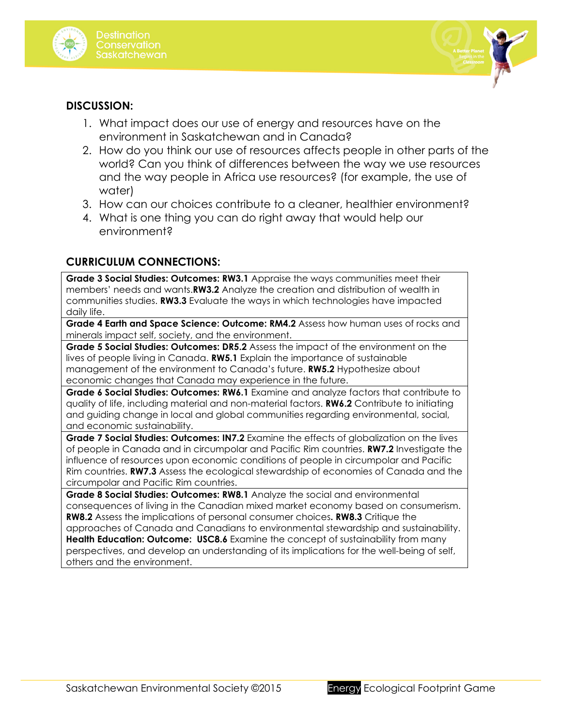



#### **DISCUSSION:**

- 1. What impact does our use of energy and resources have on the environment in Saskatchewan and in Canada?
- 2. How do you think our use of resources affects people in other parts of the world? Can you think of differences between the way we use resources and the way people in Africa use resources? (for example, the use of water)
- 3. How can our choices contribute to a cleaner, healthier environment?
- 4. What is one thing you can do right away that would help our environment?

### **CURRICULUM CONNECTIONS:**

**Grade 3 Social Studies: Outcomes: RW3.1** Appraise the ways communities meet their members' needs and wants.**RW3.2** Analyze the creation and distribution of wealth in communities studies. **RW3.3** Evaluate the ways in which technologies have impacted daily life.

**Grade 4 Earth and Space Science: Outcome: RM4.2** Assess how human uses of rocks and minerals impact self, society, and the environment.

**Grade 5 Social Studies: Outcomes: DR5.2** Assess the impact of the environment on the lives of people living in Canada. **RW5.1** Explain the importance of sustainable management of the environment to Canada's future. **RW5.2** Hypothesize about economic changes that Canada may experience in the future.

**Grade 6 Social Studies: Outcomes: RW6.1** Examine and analyze factors that contribute to quality of life, including material and non-material factors. **RW6.2** Contribute to initiating and guiding change in local and global communities regarding environmental, social, and economic sustainability.

**Grade 7 Social Studies: Outcomes: IN7.2** Examine the effects of globalization on the lives of people in Canada and in circumpolar and Pacific Rim countries. **RW7.2** Investigate the influence of resources upon economic conditions of people in circumpolar and Pacific Rim countries. **RW7.3** Assess the ecological stewardship of economies of Canada and the circumpolar and Pacific Rim countries.

**Grade 8 Social Studies: Outcomes: RW8.1** Analyze the social and environmental consequences of living in the Canadian mixed market economy based on consumerism. **RW8.2** Assess the implications of personal consumer choices**. RW8.3** Critique the approaches of Canada and Canadians to environmental stewardship and sustainability. **Health Education: Outcome: USC8.6** Examine the concept of sustainability from many perspectives, and develop an understanding of its implications for the well-being of self, others and the environment.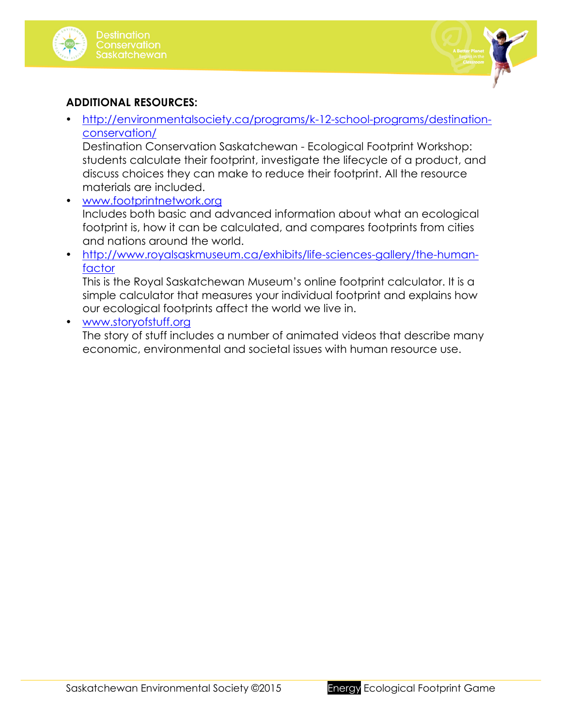



## **ADDITIONAL RESOURCES:**

• http://environmentalsociety.ca/programs/k-12-school-programs/destinationconservation/

Destination Conservation Saskatchewan - Ecological Footprint Workshop: students calculate their footprint, investigate the lifecycle of a product, and discuss choices they can make to reduce their footprint. All the resource materials are included.

- www.footprintnetwork.org Includes both basic and advanced information about what an ecological footprint is, how it can be calculated, and compares footprints from cities and nations around the world.
- http://www.royalsaskmuseum.ca/exhibits/life-sciences-gallery/the-humanfactor

This is the Royal Saskatchewan Museum's online footprint calculator. It is a simple calculator that measures your individual footprint and explains how our ecological footprints affect the world we live in.

• www.storyofstuff.org

The story of stuff includes a number of animated videos that describe many economic, environmental and societal issues with human resource use.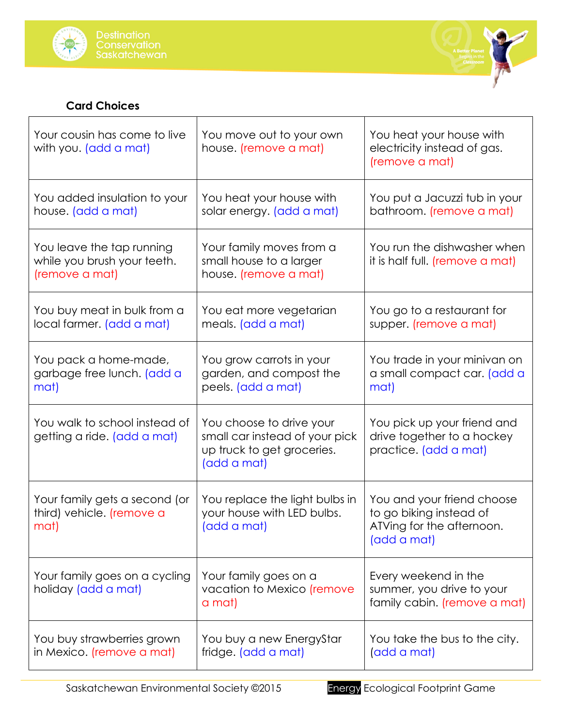



# **Card Choices**

| Your cousin has come to live<br>with you. (add a mat)                      | You move out to your own<br>house. (remove a mat)                                                       | You heat your house with<br>electricity instead of gas.<br>(remove a mat)                         |
|----------------------------------------------------------------------------|---------------------------------------------------------------------------------------------------------|---------------------------------------------------------------------------------------------------|
| You added insulation to your<br>house. (add a mat)                         | You heat your house with<br>solar energy. (add a mat)                                                   | You put a Jacuzzi tub in your<br>bathroom. (remove a mat)                                         |
| You leave the tap running<br>while you brush your teeth.<br>(remove a mat) | Your family moves from a<br>small house to a larger<br>house. (remove a mat)                            | You run the dishwasher when<br>it is half full. (remove a mat)                                    |
| You buy meat in bulk from a<br>local farmer. (add a mat)                   | You eat more vegetarian<br>meals. (add a mat)                                                           | You go to a restaurant for<br>supper. (remove a mat)                                              |
| You pack a home-made,<br>garbage free lunch. (add a<br>mat)                | You grow carrots in your<br>garden, and compost the<br>peels. (add a mat)                               | You trade in your minivan on<br>a small compact car. (add a<br>mat)                               |
| You walk to school instead of<br>getting a ride. (add a mat)               | You choose to drive your<br>small car instead of your pick<br>up truck to get groceries.<br>(add a mat) | You pick up your friend and<br>drive together to a hockey<br>practice. (add a mat)                |
| Your family gets a second (or<br>third) vehicle. (remove a<br>mat)         | You replace the light bulbs in<br>your house with LED bulbs.<br>(add a mat)                             | You and your friend choose<br>to go biking instead of<br>ATVing for the afternoon.<br>(add a mat) |
| Your family goes on a cycling<br>holiday (add a mat)                       | Your family goes on a<br>vacation to Mexico (remove<br>a mat)                                           | Every weekend in the<br>summer, you drive to your<br>family cabin. (remove a mat)                 |
| You buy strawberries grown<br>in Mexico. (remove a mat)                    | You buy a new EnergyStar<br>fridge. (add a mat)                                                         | You take the bus to the city.<br>(add a mat)                                                      |